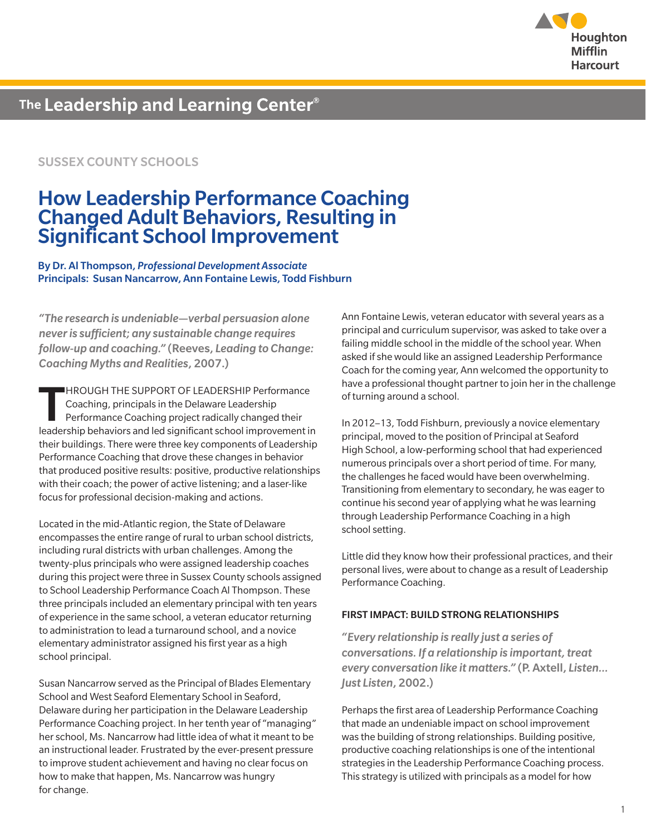

### SUSSEX COUNTY SCHOOLS

## How Leadership Performance Coaching Changed Adult Behaviors, Resulting in Significant School Improvement

By Dr. Al Thompson, *Professional Development Associate* Principals: Susan Nancarrow, Ann Fontaine Lewis, Todd Fishburn

*"The research is undeniable—verbal persuasion alone never is sufficient; any sustainable change requires follow-up and coaching."* (Reeves, *Leading to Change: Coaching Myths and Realities*, 2007.)

THROUGH THE SUPPORT OF LEADERSHIP Performance<br>
Coaching, principals in the Delaware Leadership<br>
Performance Coaching project radically changed their<br>
leadership behaviors and led significant school improvement is Coaching, principals in the Delaware Leadership leadership behaviors and led significant school improvement in their buildings. There were three key components of Leadership Performance Coaching that drove these changes in behavior that produced positive results: positive, productive relationships with their coach; the power of active listening; and a laser-like focus for professional decision-making and actions.

Located in the mid-Atlantic region, the State of Delaware encompasses the entire range of rural to urban school districts, including rural districts with urban challenges. Among the twenty-plus principals who were assigned leadership coaches during this project were three in Sussex County schools assigned to School Leadership Performance Coach Al Thompson. These three principals included an elementary principal with ten years of experience in the same school, a veteran educator returning to administration to lead a turnaround school, and a novice elementary administrator assigned his first year as a high school principal.

Susan Nancarrow served as the Principal of Blades Elementary School and West Seaford Elementary School in Seaford, Delaware during her participation in the Delaware Leadership Performance Coaching project. In her tenth year of "managing" her school, Ms. Nancarrow had little idea of what it meant to be an instructional leader. Frustrated by the ever-present pressure to improve student achievement and having no clear focus on how to make that happen, Ms. Nancarrow was hungry for change.

Ann Fontaine Lewis, veteran educator with several years as a principal and curriculum supervisor, was asked to take over a failing middle school in the middle of the school year. When asked if she would like an assigned Leadership Performance Coach for the coming year, Ann welcomed the opportunity to have a professional thought partner to join her in the challenge of turning around a school.

In 2012–13, Todd Fishburn, previously a novice elementary principal, moved to the position of Principal at Seaford High School, a low-performing school that had experienced numerous principals over a short period of time. For many, the challenges he faced would have been overwhelming. Transitioning from elementary to secondary, he was eager to continue his second year of applying what he was learning through Leadership Performance Coaching in a high school setting.

Little did they know how their professional practices, and their personal lives, were about to change as a result of Leadership Performance Coaching.

#### FIRST IMPACT: BUILD STRONG RELATIONSHIPS

*"Every relationship is really just a series of conversations. If a relationship is important, treat every conversation like it matters."* (P. Axtell, *Listen… Just Listen*, 2002.)

Perhaps the first area of Leadership Performance Coaching that made an undeniable impact on school improvement was the building of strong relationships. Building positive, productive coaching relationships is one of the intentional strategies in the Leadership Performance Coaching process. This strategy is utilized with principals as a model for how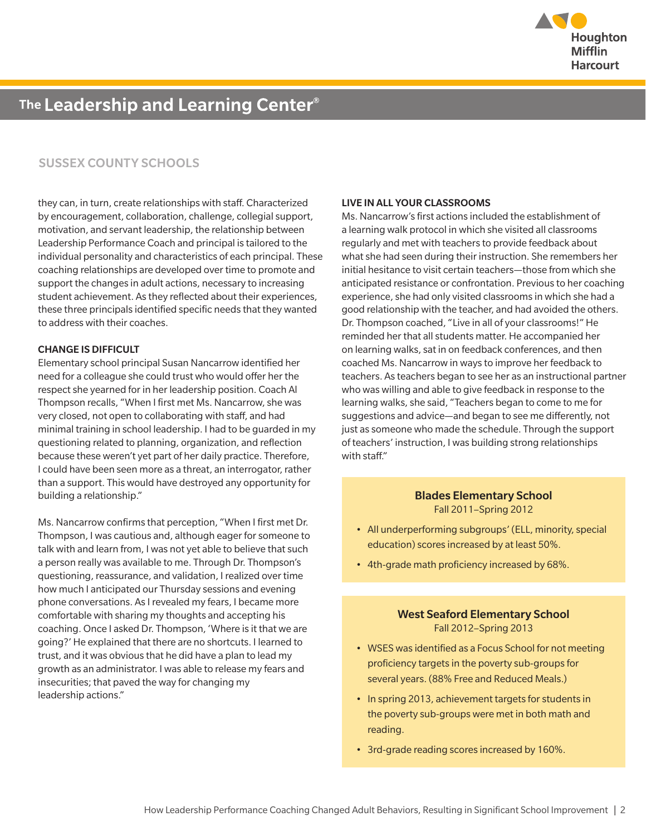

### SUSSEX COUNTY SCHOOLS

they can, in turn, create relationships with staff. Characterized by encouragement, collaboration, challenge, collegial support, motivation, and servant leadership, the relationship between Leadership Performance Coach and principal is tailored to the individual personality and characteristics of each principal. These coaching relationships are developed over time to promote and support the changes in adult actions, necessary to increasing student achievement. As they reflected about their experiences, these three principals identified specific needs that they wanted to address with their coaches.

#### CHANGE IS DIFFICULT

Elementary school principal Susan Nancarrow identified her need for a colleague she could trust who would offer her the respect she yearned for in her leadership position. Coach Al Thompson recalls, "When I first met Ms. Nancarrow, she was very closed, not open to collaborating with staff, and had minimal training in school leadership. I had to be guarded in my questioning related to planning, organization, and reflection because these weren't yet part of her daily practice. Therefore, I could have been seen more as a threat, an interrogator, rather than a support. This would have destroyed any opportunity for building a relationship."

Ms. Nancarrow confirms that perception, "When I first met Dr. Thompson, I was cautious and, although eager for someone to talk with and learn from, I was not yet able to believe that such a person really was available to me. Through Dr. Thompson's questioning, reassurance, and validation, I realized over time how much I anticipated our Thursday sessions and evening phone conversations. As I revealed my fears, I became more comfortable with sharing my thoughts and accepting his coaching. Once I asked Dr. Thompson, 'Where is it that we are going?' He explained that there are no shortcuts. I learned to trust, and it was obvious that he did have a plan to lead my growth as an administrator. I was able to release my fears and insecurities; that paved the way for changing my leadership actions."

#### LIVE IN ALL YOUR CLASSROOMS

Ms. Nancarrow's first actions included the establishment of a learning walk protocol in which she visited all classrooms regularly and met with teachers to provide feedback about what she had seen during their instruction. She remembers her initial hesitance to visit certain teachers—those from which she anticipated resistance or confrontation. Previous to her coaching experience, she had only visited classrooms in which she had a good relationship with the teacher, and had avoided the others. Dr. Thompson coached, "Live in all of your classrooms!" He reminded her that all students matter. He accompanied her on learning walks, sat in on feedback conferences, and then coached Ms. Nancarrow in ways to improve her feedback to teachers. As teachers began to see her as an instructional partner who was willing and able to give feedback in response to the learning walks, she said, "Teachers began to come to me for suggestions and advice—and began to see me differently, not just as someone who made the schedule. Through the support of teachers' instruction, I was building strong relationships with staff"

#### Blades Elementary School Fall 2011–Spring 2012

- All underperforming subgroups' (ELL, minority, special education) scores increased by at least 50%.
- 4th-grade math proficiency increased by 68%.

#### West Seaford Elementary School Fall 2012–Spring 2013

- WSES was identified as a Focus School for not meeting proficiency targets in the poverty sub-groups for several years. (88% Free and Reduced Meals.)
- In spring 2013, achievement targets for students in the poverty sub-groups were met in both math and reading.
- 3rd-grade reading scores increased by 160%.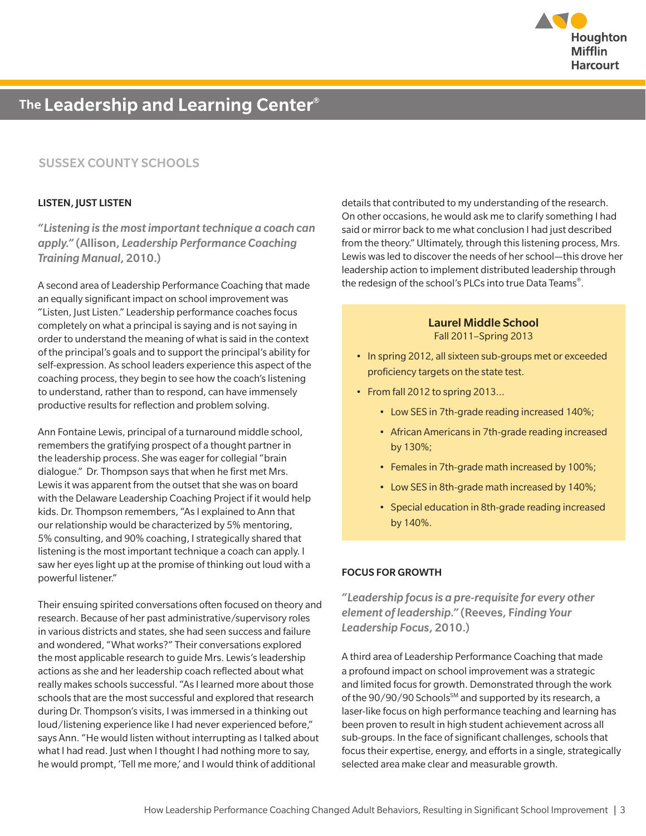

### SUSSEX COUNTY SCHOOLS

#### LISTEN, JUST LISTEN

*"Listening is the most important technique a coach can apply."* (Allison, *Leadership Performance Coaching Training Manual*, 2010.)

A second area of Leadership Performance Coaching that made an equally significant impact on school improvement was "Listen, Just Listen." Leadership performance coaches focus completely on what a principal is saying and is not saying in order to understand the meaning of what is said in the context of the principal's goals and to support the principal's ability for self-expression. As school leaders experience this aspect of the coaching process, they begin to see how the coach's listening to understand, rather than to respond, can have immensely productive results for reflection and problem solving.

Ann Fontaine Lewis, principal of a turnaround middle school, remembers the gratifying prospect of a thought partner in the leadership process. She was eager for collegial "brain dialogue." Dr. Thompson says that when he first met Mrs. Lewis it was apparent from the outset that she was on board with the Delaware Leadership Coaching Project if it would help kids. Dr. Thompson remembers, "As I explained to Ann that our relationship would be characterized by 5% mentoring, 5% consulting, and 90% coaching, I strategically shared that listening is the most important technique a coach can apply. I saw her eyes light up at the promise of thinking out loud with a powerful listener."

Their ensuing spirited conversations often focused on theory and research. Because of her past administrative/supervisory roles in various districts and states, she had seen success and failure and wondered, "What works?" Their conversations explored the most applicable research to guide Mrs. Lewis's leadership actions as she and her leadership coach reflected about what really makes schools successful. "As I learned more about those schools that are the most successful and explored that research during Dr. Thompson's visits, I was immersed in a thinking out loud/listening experience like I had never experienced before," says Ann. "He would listen without interrupting as I talked about what I had read. Just when I thought I had nothing more to say, he would prompt, 'Tell me more,' and I would think of additional

details that contributed to my understanding of the research. On other occasions, he would ask me to clarify something I had said or mirror back to me what conclusion I had just described from the theory." Ultimately, through this listening process, Mrs. Lewis was led to discover the needs of her school—this drove her leadership action to implement distributed leadership through the redesign of the school's PLCs into true Data Teams®.

#### Laurel Middle School Fall 2011–Spring 2013

- In spring 2012, all sixteen sub-groups met or exceeded proficiency targets on the state test.
- From fall 2012 to spring 2013...
	- Low SES in 7th-grade reading increased 140%;
	- African Americans in 7th-grade reading increased by 130%;
	- Females in 7th-grade math increased by 100%;
	- Low SES in 8th-grade math increased by 140%;
	- Special education in 8th-grade reading increased by 140%.

#### FOCUS FOR GROWTH

*"Leadership focus is a pre-requisite for every other element of leadership."* (Reeves, F*inding Your Leadership Focus*, 2010.)

A third area of Leadership Performance Coaching that made a profound impact on school improvement was a strategic and limited focus for growth. Demonstrated through the work of the 90/90/90 Schools<sup>SM</sup> and supported by its research, a laser-like focus on high performance teaching and learning has been proven to result in high student achievement across all sub-groups. In the face of significant challenges, schools that focus their expertise, energy, and efforts in a single, strategically selected area make clear and measurable growth.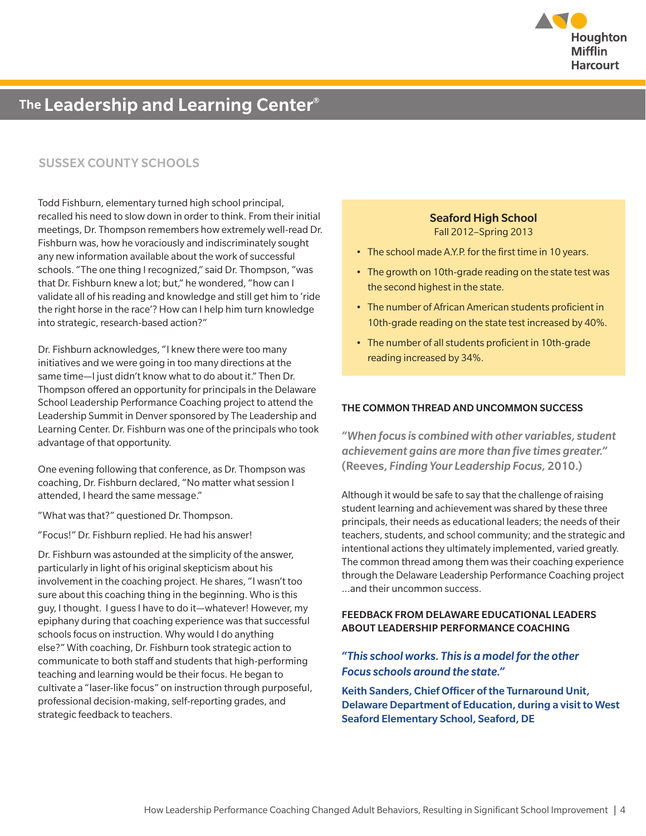

## SUSSEX COUNTY SCHOOLS

Todd Fishburn, elementary turned high school principal, recalled his need to slow down in order to think. From their initial meetings, Dr. Thompson remembers how extremely well-read Dr. Fishburn was, how he voraciously and indiscriminately sought any new information available about the work of successful schools. "The one thing I recognized," said Dr. Thompson, "was that Dr. Fishburn knew a lot; but," he wondered, "how can I validate all of his reading and knowledge and still get him to 'ride the right horse in the race'? How can I help him turn knowledge into strategic, research-based action?"

Dr. Fishburn acknowledges, "I knew there were too many initiatives and we were going in too many directions at the same time—I just didn't know what to do about it." Then Dr. Thompson offered an opportunity for principals in the Delaware School Leadership Performance Coaching project to attend the Leadership Summit in Denver sponsored by The Leadership and Learning Center. Dr. Fishburn was one of the principals who took advantage of that opportunity.

One evening following that conference, as Dr. Thompson was coaching, Dr. Fishburn declared, "No matter what session I attended, I heard the same message."

"What was that?" questioned Dr. Thompson.

"Focus!" Dr. Fishburn replied. He had his answer!

Dr. Fishburn was astounded at the simplicity of the answer, particularly in light of his original skepticism about his involvement in the coaching project. He shares, "I wasn't too sure about this coaching thing in the beginning. Who is this guy, I thought. I guess I have to do it—whatever! However, my epiphany during that coaching experience was that successful schools focus on instruction. Why would I do anything else?" With coaching, Dr. Fishburn took strategic action to communicate to both staff and students that high-performing teaching and learning would be their focus. He began to cultivate a "laser-like focus" on instruction through purposeful, professional decision-making, self-reporting grades, and strategic feedback to teachers.

### Seaford High School Fall 2012–Spring 2013

- The school made A.Y.P. for the first time in 10 years.
- The growth on 10th-grade reading on the state test was the second highest in the state.
- The number of African American students proficient in 10th-grade reading on the state test increased by 40%.
- The number of all students proficient in 10th-grade reading increased by 34%.

#### THE COMMON THREAD AND UNCOMMON SUCCESS

*"When focus is combined with other variables, student achievement gains are more than five times greater."*  (Reeves, *Finding Your Leadership Focus,* 2010.)

Although it would be safe to say that the challenge of raising student learning and achievement was shared by these three principals, their needs as educational leaders; the needs of their teachers, students, and school community; and the strategic and intentional actions they ultimately implemented, varied greatly. The common thread among them was their coaching experience through the Delaware Leadership Performance Coaching project ...and their uncommon success.

#### FEEDBACK FROM DELAWARE EDUCATIONAL LEADERS ABOUT LEADERSHIP PERFORMANCE COACHING

### *"This school works. This is a model for the other Focus schools around the state."*

Keith Sanders, Chief Officer of the Turnaround Unit, Delaware Department of Education, during a visit to West Seaford Elementary School, Seaford, DE